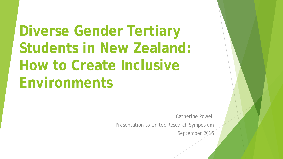## **Diverse Gender Tertiary Students in New Zealand: How to Create Inclusive Environments**

Catherine Powell

Presentation to Unitec Research Symposium

September 2016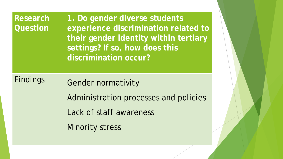| <b>Research</b><br>Question | 1. Do gender diverse students<br>experience discrimination related to<br>their gender identity within tertiary<br>settings? If so, how does this<br>discrimination occur? |  |
|-----------------------------|---------------------------------------------------------------------------------------------------------------------------------------------------------------------------|--|
| <b>Findings</b>             | <b>Gender normativity</b>                                                                                                                                                 |  |
|                             | Administration processes and policies                                                                                                                                     |  |
|                             | Lack of staff awareness                                                                                                                                                   |  |
|                             | <b>Minority stress</b>                                                                                                                                                    |  |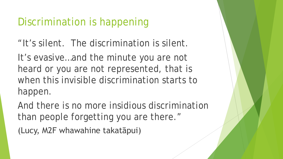### Discrimination is happening

"It's silent. The discrimination is silent.

It's evasive…and the minute you are not heard or you are not represented, that is when this invisible discrimination starts to happen.

And there is no more insidious discrimination than people forgetting you are there."

(Lucy, M2F whawahine takatāpui)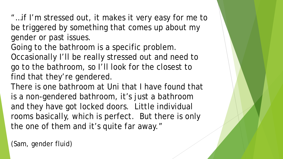"…if I'm stressed out, it makes it very easy for me to be triggered by something that comes up about my gender or past issues.

Going to the bathroom is a specific problem. Occasionally I'll be really stressed out and need to go to the bathroom, so I'll look for the closest to find that they're gendered.

There is one bathroom at Uni that I have found that is a non-gendered bathroom, it's just a bathroom and they have got locked doors. Little individual rooms basically, which is perfect. But there is only the one of them and it's quite far away."

(Sam, gender fluid)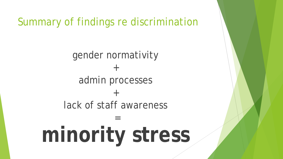Summary of findings re discrimination

gender normativity + admin processes + lack of staff awareness

**minority stress**

=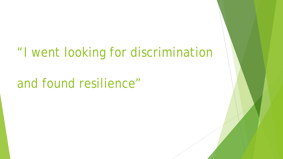## "I went looking for discrimination

## and found resilience"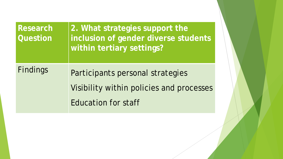| Research<br><b>Question</b> | 2. What strategies support the<br>inclusion of gender diverse students<br>within tertiary settings? |
|-----------------------------|-----------------------------------------------------------------------------------------------------|
| Findings                    | Participants personal strategies                                                                    |
|                             | Visibility within policies and processes                                                            |
|                             | <b>Education for staff</b>                                                                          |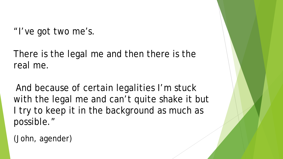"I've got two me's.

There is the legal me and then there is the real me.

And because of certain legalities I'm stuck with the legal me and can't quite shake it but I try to keep it in the background as much as possible."

(John, agender)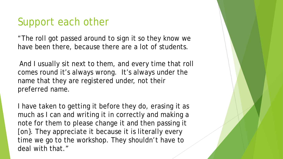#### Support each other

"The roll got passed around to sign it so they know we have been there, because there are a lot of students.

And I usually sit next to them, and every time that roll comes round it's always wrong. It's always under the name that they are registered under, not their preferred name.

I have taken to getting it before they do, erasing it as much as I can and writing it in correctly and making a note for them to please change it and then passing it [on}. They appreciate it because it is literally every time we go to the workshop. They shouldn't have to deal with that."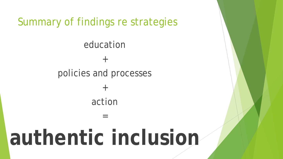Summary of findings re strategies

education + policies and processes  $+$ action =

# **authentic inclusion**